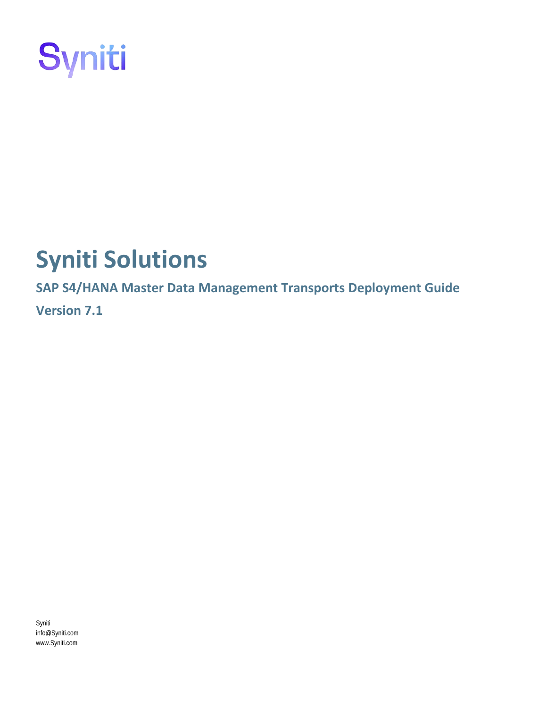

# **Syniti Solutions**

**SAP S4/HANA Master Data Management Transports Deployment Guide Version 7.1**

Syniti info@Syniti.com www.Syniti.com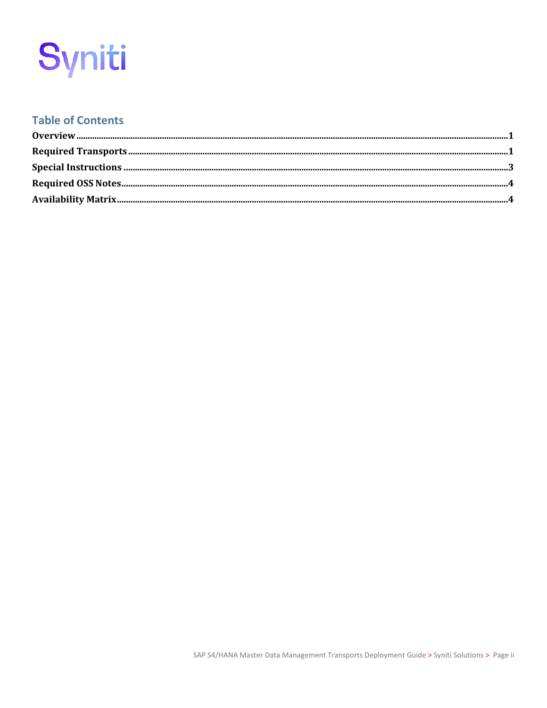# Syniti

### **Table of Contents**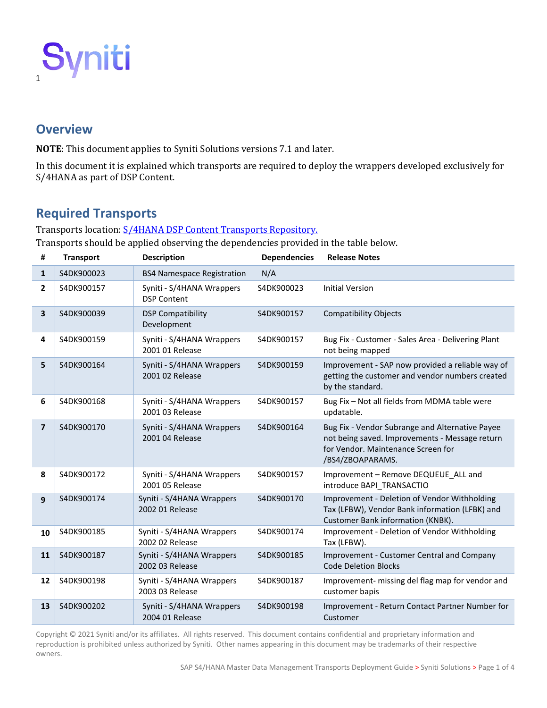

### <span id="page-2-0"></span>**Overview**

**NOTE**: This document applies to Syniti Solutions versions 7.1 and later.

In this document it is explained which transports are required to deploy the wrappers developed exclusively for S/4HANA as part of DSP Content.

## <span id="page-2-1"></span>**Required Transports**

#### Transports location: [S/4HANA DSP Content Transports Repository.](https://boaweb.sharepoint.com/:f:/s/DSPConduct-Content/EvA3XxX_mIZNrfcplhGr6GcBJR4xTQY5GElbNSopEMEcrw?e=sbRYQj)

Transports should be applied observing the dependencies provided in the table below.

| #              | <b>Transport</b> | <b>Description</b>                              | <b>Dependencies</b> | <b>Release Notes</b>                                                                                                                                        |
|----------------|------------------|-------------------------------------------------|---------------------|-------------------------------------------------------------------------------------------------------------------------------------------------------------|
| $\mathbf{1}$   | S4DK900023       | <b>BS4 Namespace Registration</b>               | N/A                 |                                                                                                                                                             |
| 2              | S4DK900157       | Syniti - S/4HANA Wrappers<br><b>DSP Content</b> | S4DK900023          | <b>Initial Version</b>                                                                                                                                      |
| 3              | S4DK900039       | <b>DSP Compatibility</b><br>Development         | S4DK900157          | <b>Compatibility Objects</b>                                                                                                                                |
| 4              | S4DK900159       | Syniti - S/4HANA Wrappers<br>2001 01 Release    | S4DK900157          | Bug Fix - Customer - Sales Area - Delivering Plant<br>not being mapped                                                                                      |
| 5              | S4DK900164       | Syniti - S/4HANA Wrappers<br>2001 02 Release    | S4DK900159          | Improvement - SAP now provided a reliable way of<br>getting the customer and vendor numbers created<br>by the standard.                                     |
| 6              | S4DK900168       | Syniti - S/4HANA Wrappers<br>2001 03 Release    | S4DK900157          | Bug Fix - Not all fields from MDMA table were<br>updatable.                                                                                                 |
| $\overline{7}$ | S4DK900170       | Syniti - S/4HANA Wrappers<br>2001 04 Release    | S4DK900164          | Bug Fix - Vendor Subrange and Alternative Payee<br>not being saved. Improvements - Message return<br>for Vendor. Maintenance Screen for<br>/BS4/ZBOAPARAMS. |
| 8              | S4DK900172       | Syniti - S/4HANA Wrappers<br>2001 05 Release    | S4DK900157          | Improvement - Remove DEQUEUE ALL and<br>introduce BAPI TRANSACTIO                                                                                           |
| 9              | S4DK900174       | Syniti - S/4HANA Wrappers<br>2002 01 Release    | S4DK900170          | Improvement - Deletion of Vendor Withholding<br>Tax (LFBW), Vendor Bank information (LFBK) and<br>Customer Bank information (KNBK).                         |
| 10             | S4DK900185       | Syniti - S/4HANA Wrappers<br>2002 02 Release    | S4DK900174          | Improvement - Deletion of Vendor Withholding<br>Tax (LFBW).                                                                                                 |
| 11             | S4DK900187       | Syniti - S/4HANA Wrappers<br>2002 03 Release    | S4DK900185          | Improvement - Customer Central and Company<br><b>Code Deletion Blocks</b>                                                                                   |
| 12             | S4DK900198       | Syniti - S/4HANA Wrappers<br>2003 03 Release    | S4DK900187          | Improvement- missing del flag map for vendor and<br>customer bapis                                                                                          |
| 13             | S4DK900202       | Syniti - S/4HANA Wrappers<br>2004 01 Release    | S4DK900198          | Improvement - Return Contact Partner Number for<br>Customer                                                                                                 |

Copyright © 2021 Syniti and/or its affiliates. All rights reserved. This document contains confidential and proprietary information and reproduction is prohibited unless authorized by Syniti. Other names appearing in this document may be trademarks of their respective owners.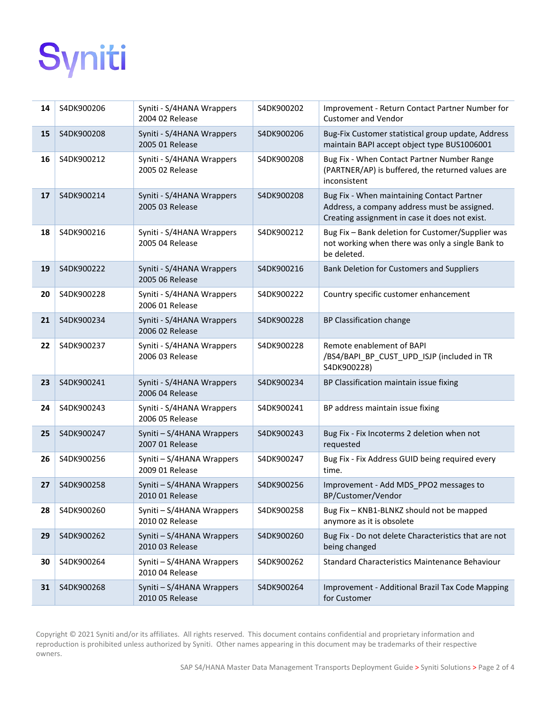# Syniti

| 14 | S4DK900206 | Syniti - S/4HANA Wrappers<br>2004 02 Release | S4DK900202 | Improvement - Return Contact Partner Number for<br><b>Customer and Vendor</b>                                                                |
|----|------------|----------------------------------------------|------------|----------------------------------------------------------------------------------------------------------------------------------------------|
| 15 | S4DK900208 | Syniti - S/4HANA Wrappers<br>2005 01 Release | S4DK900206 | Bug-Fix Customer statistical group update, Address<br>maintain BAPI accept object type BUS1006001                                            |
| 16 | S4DK900212 | Syniti - S/4HANA Wrappers<br>2005 02 Release | S4DK900208 | Bug Fix - When Contact Partner Number Range<br>(PARTNER/AP) is buffered, the returned values are<br>inconsistent                             |
| 17 | S4DK900214 | Syniti - S/4HANA Wrappers<br>2005 03 Release | S4DK900208 | Bug Fix - When maintaining Contact Partner<br>Address, a company address must be assigned.<br>Creating assignment in case it does not exist. |
| 18 | S4DK900216 | Syniti - S/4HANA Wrappers<br>2005 04 Release | S4DK900212 | Bug Fix - Bank deletion for Customer/Supplier was<br>not working when there was only a single Bank to<br>be deleted.                         |
| 19 | S4DK900222 | Syniti - S/4HANA Wrappers<br>2005 06 Release | S4DK900216 | Bank Deletion for Customers and Suppliers                                                                                                    |
| 20 | S4DK900228 | Syniti - S/4HANA Wrappers<br>2006 01 Release | S4DK900222 | Country specific customer enhancement                                                                                                        |
| 21 | S4DK900234 | Syniti - S/4HANA Wrappers<br>2006 02 Release | S4DK900228 | BP Classification change                                                                                                                     |
| 22 | S4DK900237 | Syniti - S/4HANA Wrappers<br>2006 03 Release | S4DK900228 | Remote enablement of BAPI<br>/BS4/BAPI_BP_CUST_UPD_ISJP (included in TR<br>S4DK900228)                                                       |
| 23 | S4DK900241 | Syniti - S/4HANA Wrappers<br>2006 04 Release | S4DK900234 | BP Classification maintain issue fixing                                                                                                      |
| 24 | S4DK900243 | Syniti - S/4HANA Wrappers<br>2006 05 Release | S4DK900241 | BP address maintain issue fixing                                                                                                             |
| 25 | S4DK900247 | Syniti - S/4HANA Wrappers<br>2007 01 Release | S4DK900243 | Bug Fix - Fix Incoterms 2 deletion when not<br>requested                                                                                     |
| 26 | S4DK900256 | Syniti - S/4HANA Wrappers<br>2009 01 Release | S4DK900247 | Bug Fix - Fix Address GUID being required every<br>time.                                                                                     |
| 27 | S4DK900258 | Syniti - S/4HANA Wrappers<br>2010 01 Release | S4DK900256 | Improvement - Add MDS_PPO2 messages to<br>BP/Customer/Vendor                                                                                 |
| 28 | S4DK900260 | Syniti - S/4HANA Wrappers<br>2010 02 Release | S4DK900258 | Bug Fix - KNB1-BLNKZ should not be mapped<br>anymore as it is obsolete                                                                       |
| 29 | S4DK900262 | Syniti - S/4HANA Wrappers<br>2010 03 Release | S4DK900260 | Bug Fix - Do not delete Characteristics that are not<br>being changed                                                                        |
| 30 | S4DK900264 | Syniti - S/4HANA Wrappers<br>2010 04 Release | S4DK900262 | Standard Characteristics Maintenance Behaviour                                                                                               |
| 31 | S4DK900268 | Syniti - S/4HANA Wrappers<br>2010 05 Release | S4DK900264 | Improvement - Additional Brazil Tax Code Mapping<br>for Customer                                                                             |

Copyright © 2021 Syniti and/or its affiliates. All rights reserved. This document contains confidential and proprietary information and reproduction is prohibited unless authorized by Syniti. Other names appearing in this document may be trademarks of their respective owners.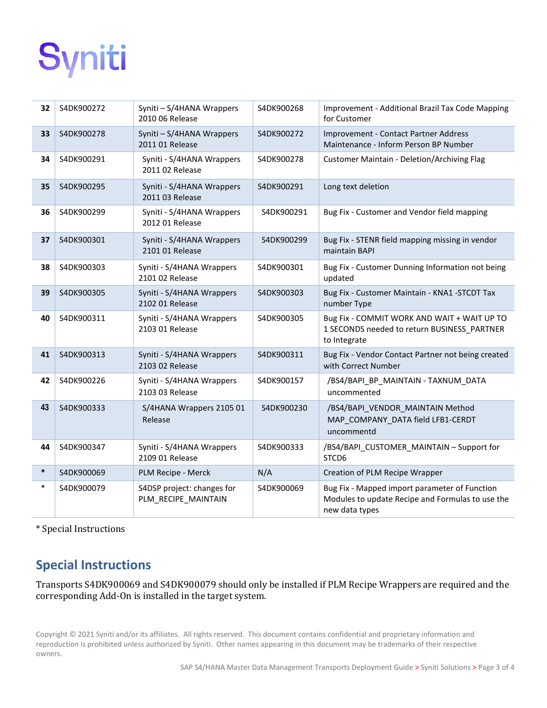# Syniti

| 32     | S4DK900272 | Syniti - S/4HANA Wrappers<br>2010 06 Release      | S4DK900268 | Improvement - Additional Brazil Tax Code Mapping<br>for Customer                                                    |
|--------|------------|---------------------------------------------------|------------|---------------------------------------------------------------------------------------------------------------------|
| 33     | S4DK900278 | Syniti - S/4HANA Wrappers<br>2011 01 Release      | S4DK900272 | Improvement - Contact Partner Address<br>Maintenance - Inform Person BP Number                                      |
| 34     | S4DK900291 | Syniti - S/4HANA Wrappers<br>2011 02 Release      | S4DK900278 | Customer Maintain - Deletion/Archiving Flag                                                                         |
| 35     | S4DK900295 | Syniti - S/4HANA Wrappers<br>2011 03 Release      | S4DK900291 | Long text deletion                                                                                                  |
| 36     | S4DK900299 | Syniti - S/4HANA Wrappers<br>2012 01 Release      | S4DK900291 | Bug Fix - Customer and Vendor field mapping                                                                         |
| 37     | S4DK900301 | Syniti - S/4HANA Wrappers<br>2101 01 Release      | S4DK900299 | Bug Fix - STENR field mapping missing in vendor<br>maintain BAPI                                                    |
| 38     | S4DK900303 | Syniti - S/4HANA Wrappers<br>2101 02 Release      | S4DK900301 | Bug Fix - Customer Dunning Information not being<br>updated                                                         |
| 39     | S4DK900305 | Syniti - S/4HANA Wrappers<br>2102 01 Release      | S4DK900303 | Bug Fix - Customer Maintain - KNA1 -STCDT Tax<br>number Type                                                        |
| 40     | S4DK900311 | Syniti - S/4HANA Wrappers<br>2103 01 Release      | S4DK900305 | Bug Fix - COMMIT WORK AND WAIT + WAIT UP TO<br>1 SECONDS needed to return BUSINESS_PARTNER<br>to Integrate          |
| 41     | S4DK900313 | Syniti - S/4HANA Wrappers<br>2103 02 Release      | S4DK900311 | Bug Fix - Vendor Contact Partner not being created<br>with Correct Number                                           |
| 42     | S4DK900226 | Syniti - S/4HANA Wrappers<br>2103 03 Release      | S4DK900157 | /BS4/BAPI_BP_MAINTAIN - TAXNUM_DATA<br>uncommented                                                                  |
| 43     | S4DK900333 | S/4HANA Wrappers 2105 01<br>Release               | S4DK900230 | /BS4/BAPI VENDOR MAINTAIN Method<br>MAP COMPANY DATA field LFB1-CERDT<br>uncommentd                                 |
| 44     | S4DK900347 | Syniti - S/4HANA Wrappers<br>2109 01 Release      | S4DK900333 | /BS4/BAPI_CUSTOMER_MAINTAIN - Support for<br>STCD6                                                                  |
| $\ast$ | S4DK900069 | PLM Recipe - Merck                                | N/A        | Creation of PLM Recipe Wrapper                                                                                      |
| $\ast$ | S4DK900079 | S4DSP project: changes for<br>PLM_RECIPE_MAINTAIN | S4DK900069 | Bug Fix - Mapped import parameter of Function<br>Modules to update Recipe and Formulas to use the<br>new data types |

<span id="page-4-0"></span>\* Special Instructions

# **Special Instructions**

Transports S4DK900069 and S4DK900079 should only be installed if PLM Recipe Wrappers are required and the corresponding Add-On is installed in the target system.

Copyright © 2021 Syniti and/or its affiliates. All rights reserved. This document contains confidential and proprietary information and reproduction is prohibited unless authorized by Syniti. Other names appearing in this document may be trademarks of their respective owners.